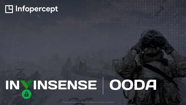## H Infopercept

# INXINSENSE OODA  $\mathbf{a}$

"Infopercept Proprietary Material - Please do not copy or distribute".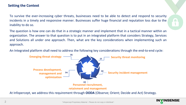## **Setting the Context**

To survive the ever-increasing cyber threats, businesses need to be able to detect and respond to security incidents in a timely and responsive manner. Businesses suffer huge financial and reputation loss due to the inability to do so.

The question is how one can do that in a strategic manner and implement that in a tactical manner within an organization. The answer to that question is to put in an integrated platform that considers Strategy, Services and Solutions all under one approach. Then, what are the key considerations when implementing such an approach.

An Integrated platform shall need to address the following key considerations through the end-to-end cycle:



At Infopercept, we address this requirement through **OODA** (Observe; Orient; Decide and Act) Strategy.

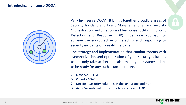## **Introducing Invinsense OODA**



Why Invinsense OODA? It brings together broadly 3 areas of Security Incident and Event Management (SIEM), Security Orchestration, Automation and Response (SOAR), Endpoint Detection and Response (EDR) under one approach to achieve the end-objective of detecting and responding to security incidents on a real-time basis.

The strategy and implementation that combat threats with synchronization and optimization of your security solutions to not only take actions but also make your systems adapt to be ready for any such attack in future.

- ⮚ **Observe** SIEM
- ⮚ **Orient** SOAR
- ⮚ **Decide** Security Solutions in the landscape and EDR
- ⮚ **Act** Security Solution in the landscape and EDR

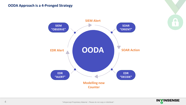## **OODA Approach is a 4-Pronged Strategy**



**INVINSENSE** 

 $\overline{\mathbf{1}}$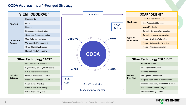## **OODA Approach is a 4-Pronged Strategy**



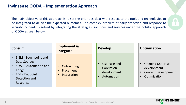## **Invinsense OODA – Implementation Approach**

The main objective of this approach is to set the priorities clear with respect to the tools and technologies to be integrated to deliver the expected outcomes. The complex problem of early detection and response to security incidents is solved by integrating the strategies, solutions and services under the holistic approach of OODA as seen below:

| <b>Consult</b>                                                                                                                               | <b>Implement &amp;</b><br>Integrate                 | <b>Develop</b>                                          | <b>Optimization</b>                                                                                                         |
|----------------------------------------------------------------------------------------------------------------------------------------------|-----------------------------------------------------|---------------------------------------------------------|-----------------------------------------------------------------------------------------------------------------------------|
| SIEM - Touchpoint and<br>Data Sources<br><b>SOAR - Automation and</b><br><b>Triage</b><br><b>EDR</b> - Endpoint<br>Detection and<br>Response | Onboarding<br>$\bullet$<br>Placement<br>Integration | Use-case and<br>Corelation<br>development<br>Automation | <b>Ongoing Use-case</b><br>$\bullet$<br>development<br><b>Content Development</b><br>$\bullet$<br>Optimization<br>$\bullet$ |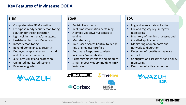## **Key Features of Invinsense OODA**

#### **SIEM**

- Comprehensive SIEM solution
- Enterprise-ready security monitoring solution for threat detection
- Lightweight multi platform agents
- Host-based Intrusion Detection
- Integrity monitoring
- Beyond Compliance & Security
- Deployed on-premises or in hybrid and cloud environments.
- 360<sup>o</sup> of visibility and protection
- Unlimited monitored systems
- Painless upgrades



#### **SOAR**

- Built-in live stream
- Real time information pertaining
- A simple yet powerful template engine
- **■** Multi-tenancy
- Role Based Access Control to define fine grained user profiles
- Automate Responses to Alerts, Incidents, Vulnerabilities
- Customizable interface and modules
- **E** Simultaneously query multiple MISP instances.





- Log and events data collection
- File and registry keys integrity monitoring
- **■** Inventory of running processes and installed applications
- Monitoring of open ports and network configuration
- Detection of rootkits or malware artifacts
- Configuration assessment and policy monitoring
- Execution of active responses



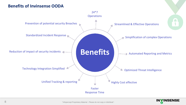## **Benefits of Invinsense OODA**



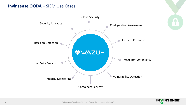## **Invinsense OODA –** SIEM Use Cases



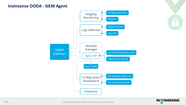## **Invinsense OODA - SIEM Agent**





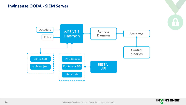## **Invinsense OODA - SIEM Server**





 $\Box$  $\overline{\mathbf{1}}$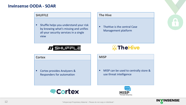## **Invinsense OODA - SOAR**

### **SHUFFLE**

■ Shuffle helps you understand your risk by knowing what's missing and unifies all your security services in a single view

**LT SHUFFLE** 

#### **The Hive**

■ TheHive is the central Case Management platform



#### **Cortex**

■ Cortex provides Analyzers & Responders for automation

#### **MISP**

■ MISP can be used to centrally store & use threat intelligence





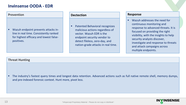## **Invinsense OODA - EDR**

#### **Prevention**

▪ Wazuh endpoint prevents attacks inline in real time. Consistently ranked for highest efficacy and lowest falsepositives.

#### **Dectection**

■ Patented Behavioral recognizes malicious actions regardless of vector. Wazuh EDR is the endpoint security vendor to detect fileless, zero-day, and nation-grade attacks in real time.

#### **Response**

■ Wazuh addresses the need for continuous monitoring and response to advanced threats. It is focused on providing the right visibility, with the insights to help security analysts discover, investigate and response to threats and attack campaigns across multiple endpoints.

#### **Threat Hunting**

▪ The industry's fastest query times and longest data retention. Advanced actions such as full native remote shell, memory dumps, and pre-indexed forensic context. Hunt more, pivot less.

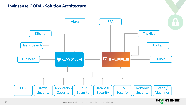## **Invinsense OODA - Solution Architecture**



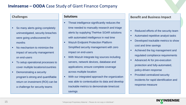## **Invinsense – OODA** Case Study of Giant Finance Company

### **Challenges**

- So many alerts going completely uninvestigated, security breaches were going undiscovered for months
- No mechanism to minimize the impact of security management on end-users
- To setup operational processes to cover multiple locations/countries
- **Demonstrating a security** program's strong and quantifiable return on investment (ROI) can be a challenge for security teams

#### **Solutions**

- Threat intelligence significantly reduces the time needed to manually research and triage alerts by supplying TheHive SOAR solutions with automated intelligence in real time
- **Wazuh Endpoint Protection Platform** Simplified security management with zero impact on end-users
- With Wazuh Integrate log sources including servers, network devices, database and applications; ensure complete coverage across multiple location
- With our integrated approach the organization was able to contextualize its data and develop trackable metrics to demonstrate time/cost savings

#### **Benefit and Business Impact**

- Reduced efforts of the security team
- Automated repetitive analyst tasks
- Developed trackable metrics to show cost and time savings
- Achieved the log management and regulated compliance requirements
- Advanced AI for pre-execution protection and fully-automated, policy-driven response
- Provided centralized security incidents for rapid identification and response measure